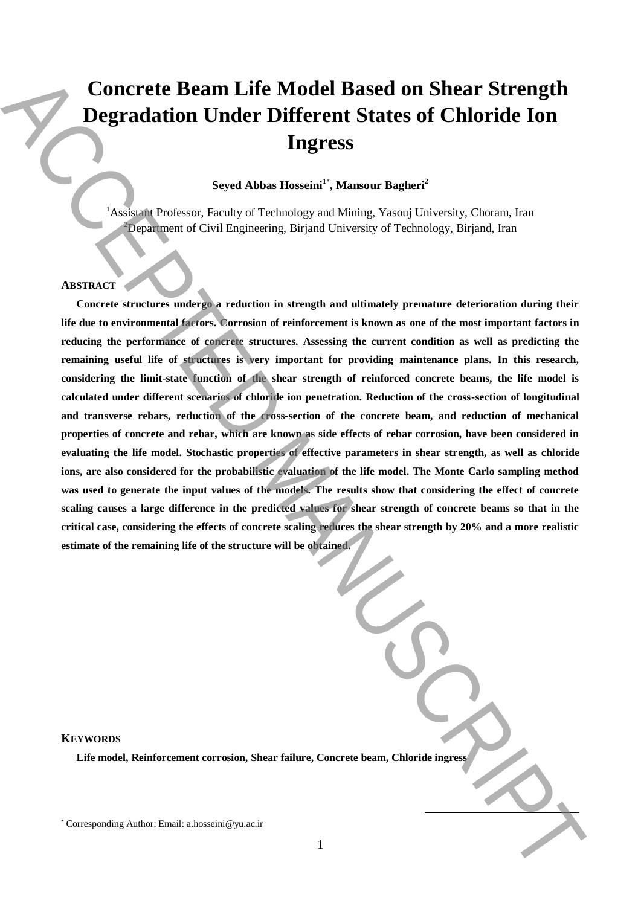# **Concrete Beam Life Model Based on Shear Strength Degradation Under Different States of Chloride Ion Ingress**

# **Seyed Abbas Hosseini<sup>1</sup>**\* **, Mansour Bagheri<sup>2</sup>**

<sup>1</sup> Assistant Professor, Faculty of Technology and Mining, Yasouj University, Choram, Iran  $2$ Department of Civil Engineering, Birjand University of Technology, Birjand, Iran

# **ABSTRACT**

**Concrete structures undergo a reduction in strength and ultimately premature deterioration during their life due to environmental factors. Corrosion of reinforcement is known as one of the most important factors in reducing the performance of concrete structures. Assessing the current condition as well as predicting the remaining useful life of structures is very important for providing maintenance plans. In this research, considering the limit-state function of the shear strength of reinforced concrete beams, the life model is calculated under different scenarios of chloride ion penetration. Reduction of the cross-section of longitudinal and transverse rebars, reduction of the cross-section of the concrete beam, and reduction of mechanical properties of concrete and rebar, which are known as side effects of rebar corrosion, have been considered in evaluating the life model. Stochastic properties of effective parameters in shear strength, as well as chloride ions, are also considered for the probabilistic evaluation of the life model. The Monte Carlo sampling method was used to generate the input values of the models. The results show that considering the effect of concrete scaling causes a large difference in the predicted values for shear strength of concrete beams so that in the critical case, considering the effects of concrete scaling reduces the shear strength by 20% and a more realistic estimate of the remaining life of the structure will be obtained.**  Concerte Beam Life Model Based on Shear Strength<br>
Degradation Under Different States of Chloride Ion<br>
Ingress<br>
Separation Correlation (Secondary Authority of Technology Authority Correlation Correlation (Secondary Authori

**KEYWORDS**

**Life model, Reinforcement corrosion, Shear failure, Concrete beam, Chloride ingress**

**.**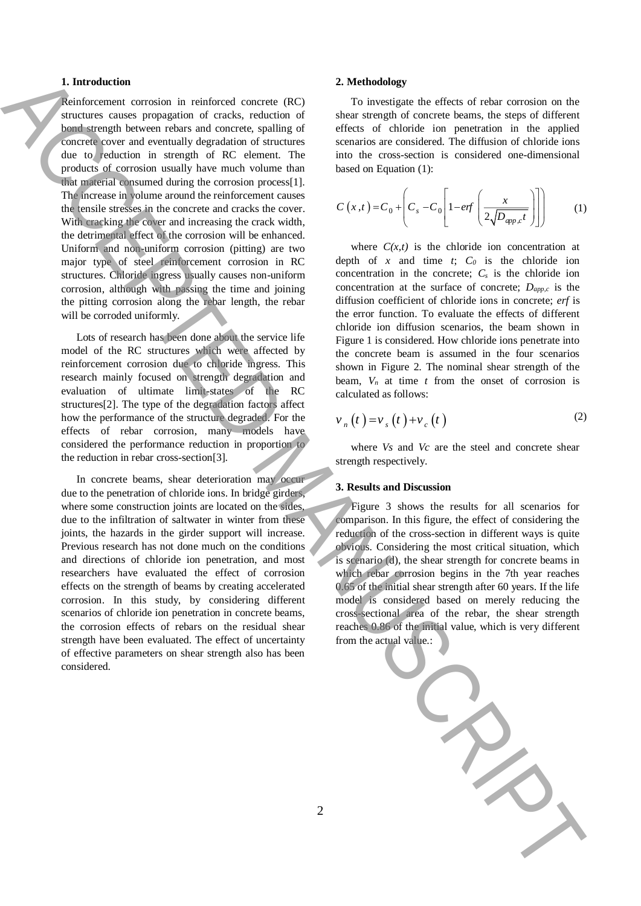# **1. Introduction**

Reinforcement corrosion in reinforced concrete (RC) structures causes propagation of cracks, reduction of bond strength between rebars and concrete, spalling of concrete cover and eventually degradation of structures due to reduction in strength of RC element. The products of corrosion usually have much volume than that material consumed during the corrosion process[1]. The increase in volume around the reinforcement causes the tensile stresses in the concrete and cracks the cover. With cracking the cover and increasing the crack width, the detrimental effect of the corrosion will be enhanced. Uniform and non-uniform corrosion (pitting) are two major type of steel reinforcement corrosion in RC structures. Chloride ingress usually causes non-uniform corrosion, although with passing the time and joining the pitting corrosion along the rebar length, the rebar will be corroded uniformly. Interaction of the context of collective particles of the collective of the collective of the collective of the collective of the collective of the collective of the collective of the collective of the collective of the c

Lots of research has been done about the service life model of the RC structures which were affected by reinforcement corrosion due to chloride ingress. This research mainly focused on strength degradation and evaluation of ultimate limit-states of the RC structures[2]. The type of the degradation factors affect how the performance of the structure degraded. For the effects of rebar corrosion, many models have considered the performance reduction in proportion to the reduction in rebar cross-section[3].

In concrete beams, shear deterioration may occur due to the penetration of chloride ions. In bridge girders, where some construction joints are located on the sides, due to the infiltration of saltwater in winter from these joints, the hazards in the girder support will increase. Previous research has not done much on the conditions and directions of chloride ion penetration, and most researchers have evaluated the effect of corrosion effects on the strength of beams by creating accelerated corrosion. In this study, by considering different scenarios of chloride ion penetration in concrete beams, the corrosion effects of rebars on the residual shear strength have been evaluated. The effect of uncertainty of effective parameters on shear strength also has been considered.

#### **2. Methodology**

To investigate the effects of rebar corrosion on the shear strength of concrete beams, the steps of different effects of chloride ion penetration in the applied scenarios are considered. The diffusion of chloride ions into the cross-section is considered one-dimensional based on Equation (1):

$$
C(x,t) = C_0 + \left(C_s - C_0 \left[1 - erf\left(\frac{x}{2\sqrt{D_{app,c}t}}\right)\right]\right)
$$
 (1)

where  $C(x,t)$  is the chloride ion concentration at depth of  $x$  and time  $t$ ;  $C_0$  is the chloride ion concentration in the concrete;  $C_s$  is the chloride ion concentration at the surface of concrete; *Dapp,c* is the diffusion coefficient of chloride ions in concrete; *erf* is the error function. To evaluate the effects of different chloride ion diffusion scenarios, the beam shown in Figure 1 is considered. How chloride ions penetrate into the concrete beam is assumed in the four scenarios shown in Figure 2. The nominal shear strength of the beam,  $V_n$  at time  $t$  from the onset of corrosion is calculated as follows:

$$
v_n(t) = v_s(t) + v_c(t)
$$
 (2)

where *Vs* and *Vc* are the steel and concrete shear strength respectively.

### **3. Results and Discussion**

Figure 3 shows the results for all scenarios for comparison. In this figure, the effect of considering the reduction of the cross-section in different ways is quite obvious. Considering the most critical situation, which is scenario (d), the shear strength for concrete beams in which rebar corrosion begins in the 7th year reaches 0.65 of the initial shear strength after 60 years. If the life model is considered based on merely reducing the cross-sectional area of the rebar, the shear strength reaches 0.86 of the initial value, which is very different from the actual value.: